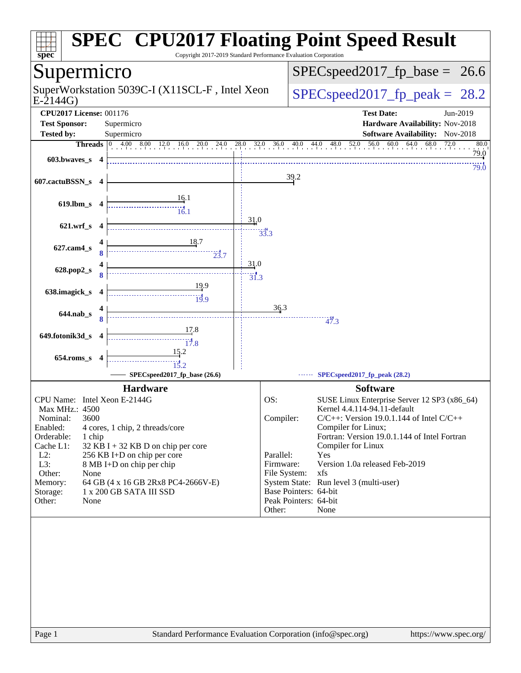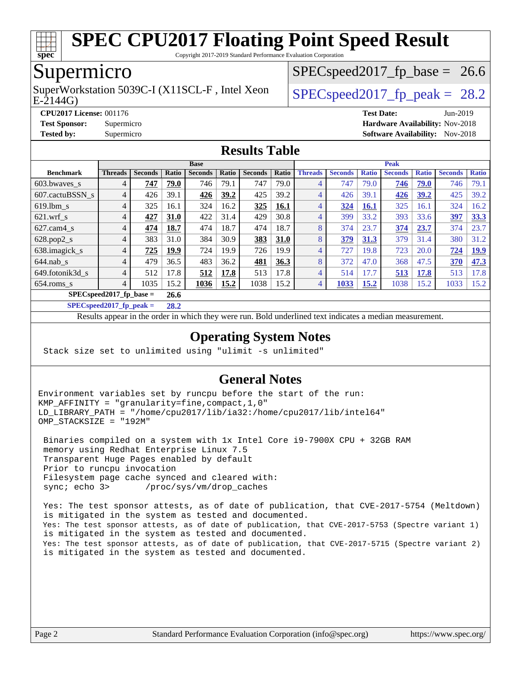

Copyright 2017-2019 Standard Performance Evaluation Corporation

# Supermicro

 $E-2144G$ SuperWorkstation 5039C-I (X11SCL-F, Intel Xeon  $\big|$  SPECspeed2017 fp\_peak = 28.2

 $SPECspeed2017_fp\_base = 26.6$ 

**[CPU2017 License:](http://www.spec.org/auto/cpu2017/Docs/result-fields.html#CPU2017License)** 001176 **[Test Date:](http://www.spec.org/auto/cpu2017/Docs/result-fields.html#TestDate)** Jun-2019

**[Test Sponsor:](http://www.spec.org/auto/cpu2017/Docs/result-fields.html#TestSponsor)** Supermicro **[Hardware Availability:](http://www.spec.org/auto/cpu2017/Docs/result-fields.html#HardwareAvailability)** Nov-2018

**[Tested by:](http://www.spec.org/auto/cpu2017/Docs/result-fields.html#Testedby)** Supermicro [Software Availability:](http://www.spec.org/auto/cpu2017/Docs/result-fields.html#SoftwareAvailability) Nov-2018

### **[Results Table](http://www.spec.org/auto/cpu2017/Docs/result-fields.html#ResultsTable)**

|                             | <b>Base</b>    |                |       |                |       |                |             | <b>Peak</b>    |                |              |                |              |                |              |
|-----------------------------|----------------|----------------|-------|----------------|-------|----------------|-------------|----------------|----------------|--------------|----------------|--------------|----------------|--------------|
| <b>Benchmark</b>            | <b>Threads</b> | <b>Seconds</b> | Ratio | <b>Seconds</b> | Ratio | <b>Seconds</b> | Ratio       | <b>Threads</b> | <b>Seconds</b> | <b>Ratio</b> | <b>Seconds</b> | <b>Ratio</b> | <b>Seconds</b> | <b>Ratio</b> |
| 603.bwaves_s                | 4              | 747            | 79.0  | 746            | 79.1  | 747            | 79.0        | 4              | 747            | 79.0         | 746            | 79.0         | 746            | 79.1         |
| 607.cactuBSSN s             | 4              | 426            | 39.1  | 426            | 39.2  | 425            | 39.2        | 4              | 426            | 39.1         | <u>426</u>     | 39.2         | 425            | 39.2         |
| $619$ .lbm s                | 4              | 325            | 16.1  | 324            | 16.2  | 325            | <b>16.1</b> | 4              | 324            | <b>16.1</b>  | 325            | 16.1         | 324            | 16.2         |
| $621.wrf$ s                 | 4              | 427            | 31.0  | 422            | 31.4  | 429            | 30.8        | 4              | 399            | 33.2         | 393            | 33.6         | 397            | 33.3         |
| $627$ .cam $4$ <sub>s</sub> | 4              | 474            | 18.7  | 474            | 18.7  | 474            | 18.7        | 8              | 374            | 23.7         | 374            | 23.7         | 374            | 23.7         |
| $628.pop2_s$                | 4              | 383            | 31.0  | 384            | 30.9  | 383            | <b>31.0</b> | 8              | 379            | 31.3         | 379            | 31.4         | 380            | 31.2         |
| 638.imagick_s               | 4              | 725            | 19.9  | 724            | 19.9  | 726            | 19.9        | 4              | 727            | 19.8         | 723            | 20.0         | 724            | <b>19.9</b>  |
| $644$ .nab s                | 4              | 479            | 36.5  | 483            | 36.2  | 481            | 36.3        | 8              | 372            | 47.0         | 368            | 47.5         | 370            | 47.3         |
| 649.fotonik3d_s             | 4              | 512            | 17.8  | 512            | 17.8  | 513            | 17.8        | 4              | 514            | 17.7         | 513            | 17.8         | 513            | 17.8         |
| $654$ .roms s               | $\overline{4}$ | 1035           | 15.2  | 1036           | 15.2  | 1038           | 15.2        | 4              | 1033           | 15.2         | 1038           | 15.2         | 1033           | 15.2         |
| $SPECspeed2017_fp\_base =$  |                |                |       |                |       |                |             |                |                |              |                |              |                |              |
|                             | -------        |                |       |                |       |                |             |                |                |              |                |              |                |              |

**[SPECspeed2017\\_fp\\_peak =](http://www.spec.org/auto/cpu2017/Docs/result-fields.html#SPECspeed2017fppeak) 28.2**

Results appear in the [order in which they were run.](http://www.spec.org/auto/cpu2017/Docs/result-fields.html#RunOrder) Bold underlined text [indicates a median measurement.](http://www.spec.org/auto/cpu2017/Docs/result-fields.html#Median)

### **[Operating System Notes](http://www.spec.org/auto/cpu2017/Docs/result-fields.html#OperatingSystemNotes)**

Stack size set to unlimited using "ulimit -s unlimited"

### **[General Notes](http://www.spec.org/auto/cpu2017/Docs/result-fields.html#GeneralNotes)**

Environment variables set by runcpu before the start of the run: KMP\_AFFINITY = "granularity=fine,compact,1,0" LD\_LIBRARY\_PATH = "/home/cpu2017/lib/ia32:/home/cpu2017/lib/intel64" OMP\_STACKSIZE = "192M"

 Binaries compiled on a system with 1x Intel Core i9-7900X CPU + 32GB RAM memory using Redhat Enterprise Linux 7.5 Transparent Huge Pages enabled by default Prior to runcpu invocation Filesystem page cache synced and cleared with: sync; echo 3> /proc/sys/vm/drop\_caches

 Yes: The test sponsor attests, as of date of publication, that CVE-2017-5754 (Meltdown) is mitigated in the system as tested and documented. Yes: The test sponsor attests, as of date of publication, that CVE-2017-5753 (Spectre variant 1) is mitigated in the system as tested and documented. Yes: The test sponsor attests, as of date of publication, that CVE-2017-5715 (Spectre variant 2) is mitigated in the system as tested and documented.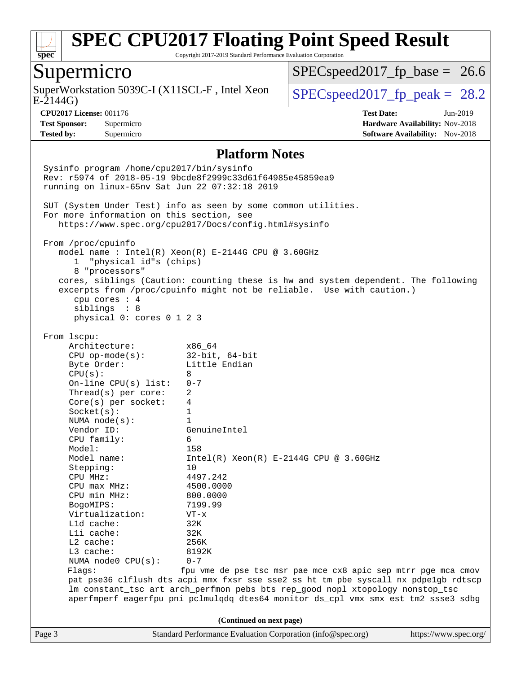

Copyright 2017-2019 Standard Performance Evaluation Corporation

## Supermicro

SuperWorkstation 5039C-I (X11SCL-F, Intel Xeon  $\big|$  [SPECspeed2017\\_fp\\_peak =](http://www.spec.org/auto/cpu2017/Docs/result-fields.html#SPECspeed2017fppeak) 28.2

 $SPECspeed2017_fp\_base = 26.6$ 

E-2144G)

**[Tested by:](http://www.spec.org/auto/cpu2017/Docs/result-fields.html#Testedby)** Supermicro **Supermicro [Software Availability:](http://www.spec.org/auto/cpu2017/Docs/result-fields.html#SoftwareAvailability)** Nov-2018

**[CPU2017 License:](http://www.spec.org/auto/cpu2017/Docs/result-fields.html#CPU2017License)** 001176 **[Test Date:](http://www.spec.org/auto/cpu2017/Docs/result-fields.html#TestDate)** Jun-2019 **[Test Sponsor:](http://www.spec.org/auto/cpu2017/Docs/result-fields.html#TestSponsor)** Supermicro **[Hardware Availability:](http://www.spec.org/auto/cpu2017/Docs/result-fields.html#HardwareAvailability)** Nov-2018

#### **[Platform Notes](http://www.spec.org/auto/cpu2017/Docs/result-fields.html#PlatformNotes)**

Page 3 Standard Performance Evaluation Corporation [\(info@spec.org\)](mailto:info@spec.org) <https://www.spec.org/> Sysinfo program /home/cpu2017/bin/sysinfo Rev: r5974 of 2018-05-19 9bcde8f2999c33d61f64985e45859ea9 running on linux-65nv Sat Jun 22 07:32:18 2019 SUT (System Under Test) info as seen by some common utilities. For more information on this section, see <https://www.spec.org/cpu2017/Docs/config.html#sysinfo> From /proc/cpuinfo model name : Intel(R) Xeon(R) E-2144G CPU @ 3.60GHz 1 "physical id"s (chips) 8 "processors" cores, siblings (Caution: counting these is hw and system dependent. The following excerpts from /proc/cpuinfo might not be reliable. Use with caution.) cpu cores : 4 siblings : 8 physical 0: cores 0 1 2 3 From lscpu: Architecture: x86\_64 CPU op-mode(s): 32-bit, 64-bit Byte Order: Little Endian  $CPU(s): 8$  On-line CPU(s) list: 0-7 Thread(s) per core: 2 Core(s) per socket: 4 Socket(s): 1 NUMA node(s): 1 Vendor ID: GenuineIntel CPU family: 6 Model: 158<br>Model name: 1158  $Intel(R)$  Xeon(R) E-2144G CPU @ 3.60GHz Stepping: 10 CPU MHz: 4497.242 CPU max MHz: 4500.0000 CPU min MHz: 800.0000 BogoMIPS: 7199.99 Virtualization: VT-x L1d cache: 32K L1i cache: 32K L2 cache: 256K L3 cache: 8192K NUMA node0 CPU(s): 0-7 Flags: fpu vme de pse tsc msr pae mce cx8 apic sep mtrr pge mca cmov pat pse36 clflush dts acpi mmx fxsr sse sse2 ss ht tm pbe syscall nx pdpe1gb rdtscp lm constant\_tsc art arch\_perfmon pebs bts rep\_good nopl xtopology nonstop\_tsc aperfmperf eagerfpu pni pclmulqdq dtes64 monitor ds\_cpl vmx smx est tm2 ssse3 sdbg **(Continued on next page)**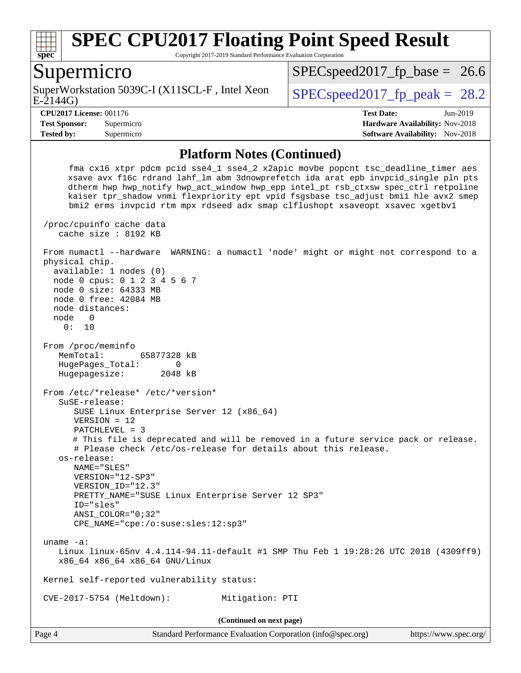

Copyright 2017-2019 Standard Performance Evaluation Corporation

## Supermicro

E-2144G) SuperWorkstation 5039C-I (X11SCL-F, Intel Xeon  $\big|$  SPECspeed2017 fp\_peak = 28.2

 $SPECspeed2017_fp\_base = 26.6$ 

**[CPU2017 License:](http://www.spec.org/auto/cpu2017/Docs/result-fields.html#CPU2017License)** 001176 **[Test Date:](http://www.spec.org/auto/cpu2017/Docs/result-fields.html#TestDate)** Jun-2019 **[Test Sponsor:](http://www.spec.org/auto/cpu2017/Docs/result-fields.html#TestSponsor)** Supermicro **[Hardware Availability:](http://www.spec.org/auto/cpu2017/Docs/result-fields.html#HardwareAvailability)** Nov-2018 **[Tested by:](http://www.spec.org/auto/cpu2017/Docs/result-fields.html#Testedby)** Supermicro **Supermicro [Software Availability:](http://www.spec.org/auto/cpu2017/Docs/result-fields.html#SoftwareAvailability)** Nov-2018

#### **[Platform Notes \(Continued\)](http://www.spec.org/auto/cpu2017/Docs/result-fields.html#PlatformNotes)**

 fma cx16 xtpr pdcm pcid sse4\_1 sse4\_2 x2apic movbe popcnt tsc\_deadline\_timer aes xsave avx f16c rdrand lahf\_lm abm 3dnowprefetch ida arat epb invpcid\_single pln pts dtherm hwp hwp\_notify hwp\_act\_window hwp\_epp intel\_pt rsb\_ctxsw spec\_ctrl retpoline kaiser tpr\_shadow vnmi flexpriority ept vpid fsgsbase tsc\_adjust bmi1 hle avx2 smep bmi2 erms invpcid rtm mpx rdseed adx smap clflushopt xsaveopt xsavec xgetbv1 /proc/cpuinfo cache data cache size : 8192 KB From numactl --hardware WARNING: a numactl 'node' might or might not correspond to a physical chip. available: 1 nodes (0) node 0 cpus: 0 1 2 3 4 5 6 7 node 0 size: 64333 MB node 0 free: 42084 MB node distances: node 0 0: 10 From /proc/meminfo MemTotal: 65877328 kB HugePages\_Total: 0 Hugepagesize: 2048 kB From /etc/\*release\* /etc/\*version\* SuSE-release: SUSE Linux Enterprise Server 12 (x86\_64) VERSION = 12 PATCHLEVEL = 3 # This file is deprecated and will be removed in a future service pack or release. # Please check /etc/os-release for details about this release. os-release: NAME="SLES" VERSION="12-SP3" VERSION\_ID="12.3" PRETTY\_NAME="SUSE Linux Enterprise Server 12 SP3" ID="sles" ANSI\_COLOR="0;32" CPE\_NAME="cpe:/o:suse:sles:12:sp3" uname -a: Linux linux-65nv 4.4.114-94.11-default #1 SMP Thu Feb 1 19:28:26 UTC 2018 (4309ff9) x86\_64 x86\_64 x86\_64 GNU/Linux Kernel self-reported vulnerability status: CVE-2017-5754 (Meltdown): Mitigation: PTI **(Continued on next page)**

Page 4 Standard Performance Evaluation Corporation [\(info@spec.org\)](mailto:info@spec.org) <https://www.spec.org/>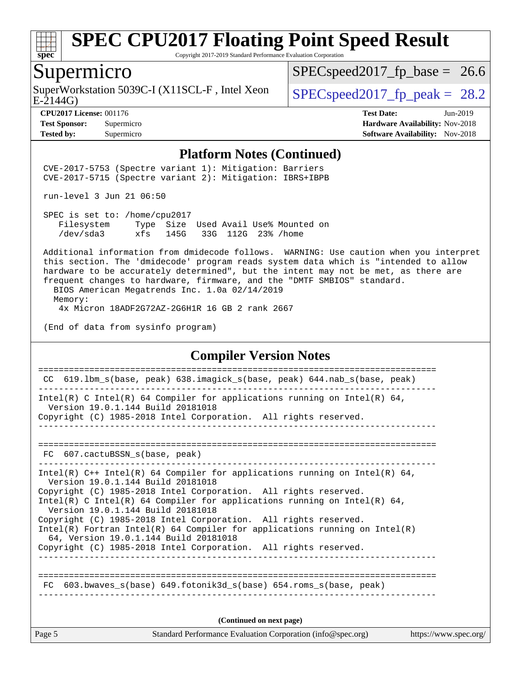

Copyright 2017-2019 Standard Performance Evaluation Corporation

## Supermicro

SuperWorkstation 5039C-I (X11SCL-F, Intel Xeon  $\big|$  SPECspeed2017 fp\_peak = 28.2

 $SPECspeed2017_fp\_base = 26.6$ 

E-2144G)

**[Tested by:](http://www.spec.org/auto/cpu2017/Docs/result-fields.html#Testedby)** Supermicro **[Software Availability:](http://www.spec.org/auto/cpu2017/Docs/result-fields.html#SoftwareAvailability)** Nov-2018

**[CPU2017 License:](http://www.spec.org/auto/cpu2017/Docs/result-fields.html#CPU2017License)** 001176 **[Test Date:](http://www.spec.org/auto/cpu2017/Docs/result-fields.html#TestDate)** Jun-2019 **[Test Sponsor:](http://www.spec.org/auto/cpu2017/Docs/result-fields.html#TestSponsor)** Supermicro **[Hardware Availability:](http://www.spec.org/auto/cpu2017/Docs/result-fields.html#HardwareAvailability)** Nov-2018

#### **[Platform Notes \(Continued\)](http://www.spec.org/auto/cpu2017/Docs/result-fields.html#PlatformNotes)**

 CVE-2017-5753 (Spectre variant 1): Mitigation: Barriers CVE-2017-5715 (Spectre variant 2): Mitigation: IBRS+IBPB

run-level 3 Jun 21 06:50

 SPEC is set to: /home/cpu2017 Filesystem Type Size Used Avail Use% Mounted on /dev/sda3 xfs 145G 33G 112G 23% /home

 Additional information from dmidecode follows. WARNING: Use caution when you interpret this section. The 'dmidecode' program reads system data which is "intended to allow hardware to be accurately determined", but the intent may not be met, as there are frequent changes to hardware, firmware, and the "DMTF SMBIOS" standard.

 BIOS American Megatrends Inc. 1.0a 02/14/2019 Memory: 4x Micron 18ADF2G72AZ-2G6H1R 16 GB 2 rank 2667

(End of data from sysinfo program)

#### **[Compiler Version Notes](http://www.spec.org/auto/cpu2017/Docs/result-fields.html#CompilerVersionNotes)**

Page 5 Standard Performance Evaluation Corporation [\(info@spec.org\)](mailto:info@spec.org) <https://www.spec.org/> ============================================================================== CC 619.lbm\_s(base, peak) 638.imagick\_s(base, peak) 644.nab\_s(base, peak) ------------------------------------------------------------------------------ Intel(R) C Intel(R) 64 Compiler for applications running on Intel(R) 64, Version 19.0.1.144 Build 20181018 Copyright (C) 1985-2018 Intel Corporation. All rights reserved. ------------------------------------------------------------------------------ ============================================================================== FC 607.cactuBSSN s(base, peak) ------------------------------------------------------------------------------ Intel(R)  $C++$  Intel(R) 64 Compiler for applications running on Intel(R) 64, Version 19.0.1.144 Build 20181018 Copyright (C) 1985-2018 Intel Corporation. All rights reserved. Intel(R) C Intel(R) 64 Compiler for applications running on Intel(R)  $64$ , Version 19.0.1.144 Build 20181018 Copyright (C) 1985-2018 Intel Corporation. All rights reserved. Intel(R) Fortran Intel(R) 64 Compiler for applications running on Intel(R) 64, Version 19.0.1.144 Build 20181018 Copyright (C) 1985-2018 Intel Corporation. All rights reserved. ------------------------------------------------------------------------------ ============================================================================== FC 603.bwaves\_s(base) 649.fotonik3d\_s(base) 654.roms\_s(base, peak) **(Continued on next page)**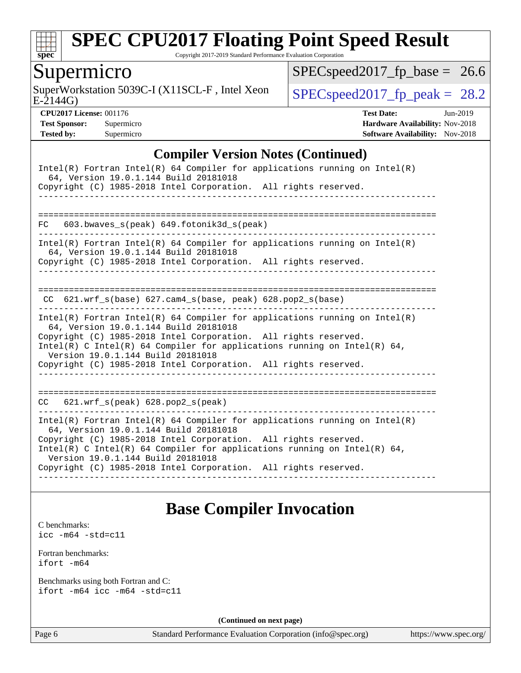

Copyright 2017-2019 Standard Performance Evaluation Corporation

## Supermicro

E-2144G) SuperWorkstation 5039C-I (X11SCL-F, Intel Xeon  $\big|$  [SPECspeed2017\\_fp\\_peak =](http://www.spec.org/auto/cpu2017/Docs/result-fields.html#SPECspeed2017fppeak) 28.2

 $SPEC speed2017_fp\_base = 26.6$ 

**[CPU2017 License:](http://www.spec.org/auto/cpu2017/Docs/result-fields.html#CPU2017License)** 001176 **[Test Date:](http://www.spec.org/auto/cpu2017/Docs/result-fields.html#TestDate)** Jun-2019 **[Test Sponsor:](http://www.spec.org/auto/cpu2017/Docs/result-fields.html#TestSponsor)** Supermicro **[Hardware Availability:](http://www.spec.org/auto/cpu2017/Docs/result-fields.html#HardwareAvailability)** Nov-2018 **[Tested by:](http://www.spec.org/auto/cpu2017/Docs/result-fields.html#Testedby)** Supermicro [Software Availability:](http://www.spec.org/auto/cpu2017/Docs/result-fields.html#SoftwareAvailability) Nov-2018

### **[Compiler Version Notes \(Continued\)](http://www.spec.org/auto/cpu2017/Docs/result-fields.html#CompilerVersionNotes)**

| Intel(R) Fortran Intel(R) 64 Compiler for applications running on Intel(R)<br>64, Version 19.0.1.144 Build 20181018<br>Copyright (C) 1985-2018 Intel Corporation. All rights reserved.                                                                                                                                                                                       |
|------------------------------------------------------------------------------------------------------------------------------------------------------------------------------------------------------------------------------------------------------------------------------------------------------------------------------------------------------------------------------|
| $603.bwaves$ s(peak) $649.fotonik3d$ s(peak)<br>FC                                                                                                                                                                                                                                                                                                                           |
| $Intel(R)$ Fortran Intel(R) 64 Compiler for applications running on Intel(R)<br>64, Version 19.0.1.144 Build 20181018<br>Copyright (C) 1985-2018 Intel Corporation. All rights reserved.                                                                                                                                                                                     |
| CC 621.wrf_s(base) 627.cam4_s(base, peak) 628.pop2_s(base)                                                                                                                                                                                                                                                                                                                   |
| Intel(R) Fortran Intel(R) 64 Compiler for applications running on Intel(R)<br>64, Version 19.0.1.144 Build 20181018<br>Copyright (C) 1985-2018 Intel Corporation. All rights reserved.<br>$Intel(R)$ C Intel(R) 64 Compiler for applications running on Intel(R) 64,<br>Version 19.0.1.144 Build 20181018<br>Copyright (C) 1985-2018 Intel Corporation. All rights reserved. |
| 621.wrf_s(peak) 628.pop2_s(peak)<br>CC                                                                                                                                                                                                                                                                                                                                       |
| Intel(R) Fortran Intel(R) 64 Compiler for applications running on Intel(R)<br>64, Version 19.0.1.144 Build 20181018<br>Copyright (C) 1985-2018 Intel Corporation. All rights reserved.<br>$Intel(R)$ C Intel(R) 64 Compiler for applications running on Intel(R) 64,<br>Version 19.0.1.144 Build 20181018<br>Copyright (C) 1985-2018 Intel Corporation. All rights reserved. |

## **[Base Compiler Invocation](http://www.spec.org/auto/cpu2017/Docs/result-fields.html#BaseCompilerInvocation)**

[C benchmarks](http://www.spec.org/auto/cpu2017/Docs/result-fields.html#Cbenchmarks): [icc -m64 -std=c11](http://www.spec.org/cpu2017/results/res2019q3/cpu2017-20190625-15865.flags.html#user_CCbase_intel_icc_64bit_c11_33ee0cdaae7deeeab2a9725423ba97205ce30f63b9926c2519791662299b76a0318f32ddfffdc46587804de3178b4f9328c46fa7c2b0cd779d7a61945c91cd35)

[Fortran benchmarks](http://www.spec.org/auto/cpu2017/Docs/result-fields.html#Fortranbenchmarks):

[ifort -m64](http://www.spec.org/cpu2017/results/res2019q3/cpu2017-20190625-15865.flags.html#user_FCbase_intel_ifort_64bit_24f2bb282fbaeffd6157abe4f878425411749daecae9a33200eee2bee2fe76f3b89351d69a8130dd5949958ce389cf37ff59a95e7a40d588e8d3a57e0c3fd751)

[Benchmarks using both Fortran and C](http://www.spec.org/auto/cpu2017/Docs/result-fields.html#BenchmarksusingbothFortranandC): [ifort -m64](http://www.spec.org/cpu2017/results/res2019q3/cpu2017-20190625-15865.flags.html#user_CC_FCbase_intel_ifort_64bit_24f2bb282fbaeffd6157abe4f878425411749daecae9a33200eee2bee2fe76f3b89351d69a8130dd5949958ce389cf37ff59a95e7a40d588e8d3a57e0c3fd751) [icc -m64 -std=c11](http://www.spec.org/cpu2017/results/res2019q3/cpu2017-20190625-15865.flags.html#user_CC_FCbase_intel_icc_64bit_c11_33ee0cdaae7deeeab2a9725423ba97205ce30f63b9926c2519791662299b76a0318f32ddfffdc46587804de3178b4f9328c46fa7c2b0cd779d7a61945c91cd35)

**(Continued on next page)**

Page 6 Standard Performance Evaluation Corporation [\(info@spec.org\)](mailto:info@spec.org) <https://www.spec.org/>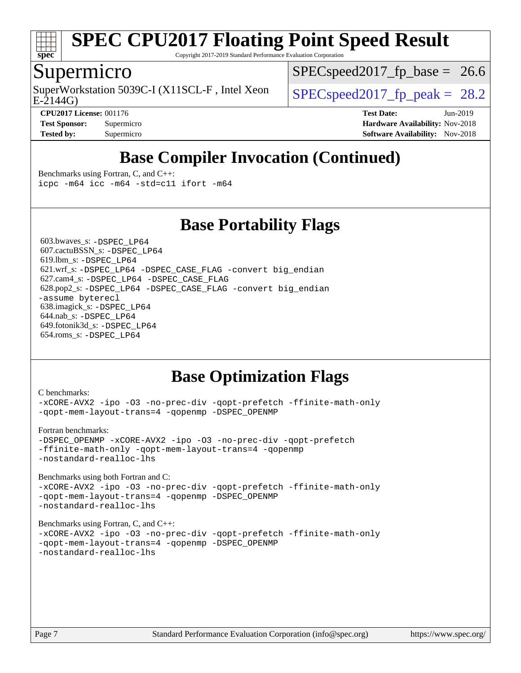

Copyright 2017-2019 Standard Performance Evaluation Corporation

## Supermicro

SuperWorkstation 5039C-I (X11SCL-F, Intel Xeon  $\big|$  SPECspeed2017 fp\_peak = 28.2

 $SPECspeed2017_fp\_base = 26.6$ 

E-2144G)

**[CPU2017 License:](http://www.spec.org/auto/cpu2017/Docs/result-fields.html#CPU2017License)** 001176 **[Test Date:](http://www.spec.org/auto/cpu2017/Docs/result-fields.html#TestDate)** Jun-2019

**[Test Sponsor:](http://www.spec.org/auto/cpu2017/Docs/result-fields.html#TestSponsor)** Supermicro **[Hardware Availability:](http://www.spec.org/auto/cpu2017/Docs/result-fields.html#HardwareAvailability)** Nov-2018 **[Tested by:](http://www.spec.org/auto/cpu2017/Docs/result-fields.html#Testedby)** Supermicro **[Software Availability:](http://www.spec.org/auto/cpu2017/Docs/result-fields.html#SoftwareAvailability)** Nov-2018

# **[Base Compiler Invocation \(Continued\)](http://www.spec.org/auto/cpu2017/Docs/result-fields.html#BaseCompilerInvocation)**

[Benchmarks using Fortran, C, and C++:](http://www.spec.org/auto/cpu2017/Docs/result-fields.html#BenchmarksusingFortranCandCXX) [icpc -m64](http://www.spec.org/cpu2017/results/res2019q3/cpu2017-20190625-15865.flags.html#user_CC_CXX_FCbase_intel_icpc_64bit_4ecb2543ae3f1412ef961e0650ca070fec7b7afdcd6ed48761b84423119d1bf6bdf5cad15b44d48e7256388bc77273b966e5eb805aefd121eb22e9299b2ec9d9) [icc -m64 -std=c11](http://www.spec.org/cpu2017/results/res2019q3/cpu2017-20190625-15865.flags.html#user_CC_CXX_FCbase_intel_icc_64bit_c11_33ee0cdaae7deeeab2a9725423ba97205ce30f63b9926c2519791662299b76a0318f32ddfffdc46587804de3178b4f9328c46fa7c2b0cd779d7a61945c91cd35) [ifort -m64](http://www.spec.org/cpu2017/results/res2019q3/cpu2017-20190625-15865.flags.html#user_CC_CXX_FCbase_intel_ifort_64bit_24f2bb282fbaeffd6157abe4f878425411749daecae9a33200eee2bee2fe76f3b89351d69a8130dd5949958ce389cf37ff59a95e7a40d588e8d3a57e0c3fd751)

**[Base Portability Flags](http://www.spec.org/auto/cpu2017/Docs/result-fields.html#BasePortabilityFlags)**

 603.bwaves\_s: [-DSPEC\\_LP64](http://www.spec.org/cpu2017/results/res2019q3/cpu2017-20190625-15865.flags.html#suite_basePORTABILITY603_bwaves_s_DSPEC_LP64) 607.cactuBSSN\_s: [-DSPEC\\_LP64](http://www.spec.org/cpu2017/results/res2019q3/cpu2017-20190625-15865.flags.html#suite_basePORTABILITY607_cactuBSSN_s_DSPEC_LP64) 619.lbm\_s: [-DSPEC\\_LP64](http://www.spec.org/cpu2017/results/res2019q3/cpu2017-20190625-15865.flags.html#suite_basePORTABILITY619_lbm_s_DSPEC_LP64) 621.wrf\_s: [-DSPEC\\_LP64](http://www.spec.org/cpu2017/results/res2019q3/cpu2017-20190625-15865.flags.html#suite_basePORTABILITY621_wrf_s_DSPEC_LP64) [-DSPEC\\_CASE\\_FLAG](http://www.spec.org/cpu2017/results/res2019q3/cpu2017-20190625-15865.flags.html#b621.wrf_s_baseCPORTABILITY_DSPEC_CASE_FLAG) [-convert big\\_endian](http://www.spec.org/cpu2017/results/res2019q3/cpu2017-20190625-15865.flags.html#user_baseFPORTABILITY621_wrf_s_convert_big_endian_c3194028bc08c63ac5d04de18c48ce6d347e4e562e8892b8bdbdc0214820426deb8554edfa529a3fb25a586e65a3d812c835984020483e7e73212c4d31a38223) 627.cam4\_s: [-DSPEC\\_LP64](http://www.spec.org/cpu2017/results/res2019q3/cpu2017-20190625-15865.flags.html#suite_basePORTABILITY627_cam4_s_DSPEC_LP64) [-DSPEC\\_CASE\\_FLAG](http://www.spec.org/cpu2017/results/res2019q3/cpu2017-20190625-15865.flags.html#b627.cam4_s_baseCPORTABILITY_DSPEC_CASE_FLAG) 628.pop2\_s: [-DSPEC\\_LP64](http://www.spec.org/cpu2017/results/res2019q3/cpu2017-20190625-15865.flags.html#suite_basePORTABILITY628_pop2_s_DSPEC_LP64) [-DSPEC\\_CASE\\_FLAG](http://www.spec.org/cpu2017/results/res2019q3/cpu2017-20190625-15865.flags.html#b628.pop2_s_baseCPORTABILITY_DSPEC_CASE_FLAG) [-convert big\\_endian](http://www.spec.org/cpu2017/results/res2019q3/cpu2017-20190625-15865.flags.html#user_baseFPORTABILITY628_pop2_s_convert_big_endian_c3194028bc08c63ac5d04de18c48ce6d347e4e562e8892b8bdbdc0214820426deb8554edfa529a3fb25a586e65a3d812c835984020483e7e73212c4d31a38223) [-assume byterecl](http://www.spec.org/cpu2017/results/res2019q3/cpu2017-20190625-15865.flags.html#user_baseFPORTABILITY628_pop2_s_assume_byterecl_7e47d18b9513cf18525430bbf0f2177aa9bf368bc7a059c09b2c06a34b53bd3447c950d3f8d6c70e3faf3a05c8557d66a5798b567902e8849adc142926523472) 638.imagick\_s: [-DSPEC\\_LP64](http://www.spec.org/cpu2017/results/res2019q3/cpu2017-20190625-15865.flags.html#suite_basePORTABILITY638_imagick_s_DSPEC_LP64) 644.nab\_s: [-DSPEC\\_LP64](http://www.spec.org/cpu2017/results/res2019q3/cpu2017-20190625-15865.flags.html#suite_basePORTABILITY644_nab_s_DSPEC_LP64) 649.fotonik3d\_s: [-DSPEC\\_LP64](http://www.spec.org/cpu2017/results/res2019q3/cpu2017-20190625-15865.flags.html#suite_basePORTABILITY649_fotonik3d_s_DSPEC_LP64) 654.roms\_s: [-DSPEC\\_LP64](http://www.spec.org/cpu2017/results/res2019q3/cpu2017-20190625-15865.flags.html#suite_basePORTABILITY654_roms_s_DSPEC_LP64)

# **[Base Optimization Flags](http://www.spec.org/auto/cpu2017/Docs/result-fields.html#BaseOptimizationFlags)**

```
C benchmarks: 
-xCORE-AVX2 -ipo -O3 -no-prec-div -qopt-prefetch -ffinite-math-only
-qopt-mem-layout-trans=4 -qopenmp -DSPEC_OPENMP
Fortran benchmarks: 
-DSPEC_OPENMP -xCORE-AVX2 -ipo -O3 -no-prec-div -qopt-prefetch
-ffinite-math-only -qopt-mem-layout-trans=4 -qopenmp
-nostandard-realloc-lhs
Benchmarks using both Fortran and C: 
-xCORE-AVX2 -ipo -O3 -no-prec-div -qopt-prefetch -ffinite-math-only
-qopt-mem-layout-trans=4 -qopenmp -DSPEC_OPENMP
-nostandard-realloc-lhs
Benchmarks using Fortran, C, and C++: 
-xCORE-AVX2 -ipo -O3 -no-prec-div -qopt-prefetch -ffinite-math-only
-qopt-mem-layout-trans=4 -qopenmp -DSPEC_OPENMP
-nostandard-realloc-lhs
```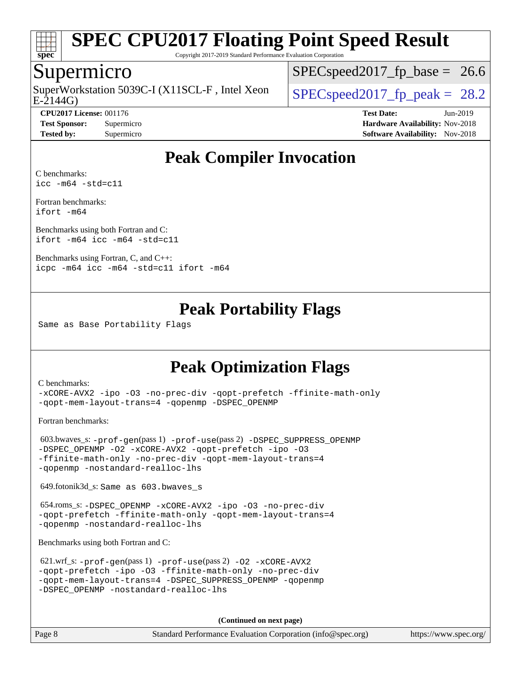

Copyright 2017-2019 Standard Performance Evaluation Corporation

## Supermicro

 $E-2144G$ SuperWorkstation 5039C-I (X11SCL-F, Intel Xeon  $\big|$  [SPECspeed2017\\_fp\\_peak =](http://www.spec.org/auto/cpu2017/Docs/result-fields.html#SPECspeed2017fppeak) 28.2

 $SPECspeed2017_fp\_base = 26.6$ 

**[Tested by:](http://www.spec.org/auto/cpu2017/Docs/result-fields.html#Testedby)** Supermicro [Software Availability:](http://www.spec.org/auto/cpu2017/Docs/result-fields.html#SoftwareAvailability) Nov-2018

**[CPU2017 License:](http://www.spec.org/auto/cpu2017/Docs/result-fields.html#CPU2017License)** 001176 **[Test Date:](http://www.spec.org/auto/cpu2017/Docs/result-fields.html#TestDate)** Jun-2019 **[Test Sponsor:](http://www.spec.org/auto/cpu2017/Docs/result-fields.html#TestSponsor)** Supermicro **[Hardware Availability:](http://www.spec.org/auto/cpu2017/Docs/result-fields.html#HardwareAvailability)** Nov-2018

# **[Peak Compiler Invocation](http://www.spec.org/auto/cpu2017/Docs/result-fields.html#PeakCompilerInvocation)**

[C benchmarks](http://www.spec.org/auto/cpu2017/Docs/result-fields.html#Cbenchmarks): [icc -m64 -std=c11](http://www.spec.org/cpu2017/results/res2019q3/cpu2017-20190625-15865.flags.html#user_CCpeak_intel_icc_64bit_c11_33ee0cdaae7deeeab2a9725423ba97205ce30f63b9926c2519791662299b76a0318f32ddfffdc46587804de3178b4f9328c46fa7c2b0cd779d7a61945c91cd35)

[Fortran benchmarks](http://www.spec.org/auto/cpu2017/Docs/result-fields.html#Fortranbenchmarks): [ifort -m64](http://www.spec.org/cpu2017/results/res2019q3/cpu2017-20190625-15865.flags.html#user_FCpeak_intel_ifort_64bit_24f2bb282fbaeffd6157abe4f878425411749daecae9a33200eee2bee2fe76f3b89351d69a8130dd5949958ce389cf37ff59a95e7a40d588e8d3a57e0c3fd751)

[Benchmarks using both Fortran and C](http://www.spec.org/auto/cpu2017/Docs/result-fields.html#BenchmarksusingbothFortranandC): [ifort -m64](http://www.spec.org/cpu2017/results/res2019q3/cpu2017-20190625-15865.flags.html#user_CC_FCpeak_intel_ifort_64bit_24f2bb282fbaeffd6157abe4f878425411749daecae9a33200eee2bee2fe76f3b89351d69a8130dd5949958ce389cf37ff59a95e7a40d588e8d3a57e0c3fd751) [icc -m64 -std=c11](http://www.spec.org/cpu2017/results/res2019q3/cpu2017-20190625-15865.flags.html#user_CC_FCpeak_intel_icc_64bit_c11_33ee0cdaae7deeeab2a9725423ba97205ce30f63b9926c2519791662299b76a0318f32ddfffdc46587804de3178b4f9328c46fa7c2b0cd779d7a61945c91cd35)

[Benchmarks using Fortran, C, and C++:](http://www.spec.org/auto/cpu2017/Docs/result-fields.html#BenchmarksusingFortranCandCXX) [icpc -m64](http://www.spec.org/cpu2017/results/res2019q3/cpu2017-20190625-15865.flags.html#user_CC_CXX_FCpeak_intel_icpc_64bit_4ecb2543ae3f1412ef961e0650ca070fec7b7afdcd6ed48761b84423119d1bf6bdf5cad15b44d48e7256388bc77273b966e5eb805aefd121eb22e9299b2ec9d9) [icc -m64 -std=c11](http://www.spec.org/cpu2017/results/res2019q3/cpu2017-20190625-15865.flags.html#user_CC_CXX_FCpeak_intel_icc_64bit_c11_33ee0cdaae7deeeab2a9725423ba97205ce30f63b9926c2519791662299b76a0318f32ddfffdc46587804de3178b4f9328c46fa7c2b0cd779d7a61945c91cd35) [ifort -m64](http://www.spec.org/cpu2017/results/res2019q3/cpu2017-20190625-15865.flags.html#user_CC_CXX_FCpeak_intel_ifort_64bit_24f2bb282fbaeffd6157abe4f878425411749daecae9a33200eee2bee2fe76f3b89351d69a8130dd5949958ce389cf37ff59a95e7a40d588e8d3a57e0c3fd751)

# **[Peak Portability Flags](http://www.spec.org/auto/cpu2017/Docs/result-fields.html#PeakPortabilityFlags)**

Same as Base Portability Flags

# **[Peak Optimization Flags](http://www.spec.org/auto/cpu2017/Docs/result-fields.html#PeakOptimizationFlags)**

[C benchmarks](http://www.spec.org/auto/cpu2017/Docs/result-fields.html#Cbenchmarks):

[-xCORE-AVX2](http://www.spec.org/cpu2017/results/res2019q3/cpu2017-20190625-15865.flags.html#user_CCpeak_f-xCORE-AVX2) [-ipo](http://www.spec.org/cpu2017/results/res2019q3/cpu2017-20190625-15865.flags.html#user_CCpeak_f-ipo) [-O3](http://www.spec.org/cpu2017/results/res2019q3/cpu2017-20190625-15865.flags.html#user_CCpeak_f-O3) [-no-prec-div](http://www.spec.org/cpu2017/results/res2019q3/cpu2017-20190625-15865.flags.html#user_CCpeak_f-no-prec-div) [-qopt-prefetch](http://www.spec.org/cpu2017/results/res2019q3/cpu2017-20190625-15865.flags.html#user_CCpeak_f-qopt-prefetch) [-ffinite-math-only](http://www.spec.org/cpu2017/results/res2019q3/cpu2017-20190625-15865.flags.html#user_CCpeak_f_finite_math_only_cb91587bd2077682c4b38af759c288ed7c732db004271a9512da14a4f8007909a5f1427ecbf1a0fb78ff2a814402c6114ac565ca162485bbcae155b5e4258871) [-qopt-mem-layout-trans=4](http://www.spec.org/cpu2017/results/res2019q3/cpu2017-20190625-15865.flags.html#user_CCpeak_f-qopt-mem-layout-trans_fa39e755916c150a61361b7846f310bcdf6f04e385ef281cadf3647acec3f0ae266d1a1d22d972a7087a248fd4e6ca390a3634700869573d231a252c784941a8) [-qopenmp](http://www.spec.org/cpu2017/results/res2019q3/cpu2017-20190625-15865.flags.html#user_CCpeak_qopenmp_16be0c44f24f464004c6784a7acb94aca937f053568ce72f94b139a11c7c168634a55f6653758ddd83bcf7b8463e8028bb0b48b77bcddc6b78d5d95bb1df2967) [-DSPEC\\_OPENMP](http://www.spec.org/cpu2017/results/res2019q3/cpu2017-20190625-15865.flags.html#suite_CCpeak_DSPEC_OPENMP)

[Fortran benchmarks](http://www.spec.org/auto/cpu2017/Docs/result-fields.html#Fortranbenchmarks):

 603.bwaves\_s: [-prof-gen](http://www.spec.org/cpu2017/results/res2019q3/cpu2017-20190625-15865.flags.html#user_peakPASS1_FFLAGSPASS1_LDFLAGS603_bwaves_s_prof_gen_5aa4926d6013ddb2a31985c654b3eb18169fc0c6952a63635c234f711e6e63dd76e94ad52365559451ec499a2cdb89e4dc58ba4c67ef54ca681ffbe1461d6b36)(pass 1) [-prof-use](http://www.spec.org/cpu2017/results/res2019q3/cpu2017-20190625-15865.flags.html#user_peakPASS2_FFLAGSPASS2_LDFLAGS603_bwaves_s_prof_use_1a21ceae95f36a2b53c25747139a6c16ca95bd9def2a207b4f0849963b97e94f5260e30a0c64f4bb623698870e679ca08317ef8150905d41bd88c6f78df73f19)(pass 2) [-DSPEC\\_SUPPRESS\\_OPENMP](http://www.spec.org/cpu2017/results/res2019q3/cpu2017-20190625-15865.flags.html#suite_peakPASS1_FOPTIMIZE603_bwaves_s_DSPEC_SUPPRESS_OPENMP) [-DSPEC\\_OPENMP](http://www.spec.org/cpu2017/results/res2019q3/cpu2017-20190625-15865.flags.html#suite_peakPASS2_FOPTIMIZE603_bwaves_s_DSPEC_OPENMP) [-O2](http://www.spec.org/cpu2017/results/res2019q3/cpu2017-20190625-15865.flags.html#user_peakPASS1_FOPTIMIZE603_bwaves_s_f-O2) [-xCORE-AVX2](http://www.spec.org/cpu2017/results/res2019q3/cpu2017-20190625-15865.flags.html#user_peakPASS2_FOPTIMIZE603_bwaves_s_f-xCORE-AVX2) [-qopt-prefetch](http://www.spec.org/cpu2017/results/res2019q3/cpu2017-20190625-15865.flags.html#user_peakPASS1_FOPTIMIZEPASS2_FOPTIMIZE603_bwaves_s_f-qopt-prefetch) [-ipo](http://www.spec.org/cpu2017/results/res2019q3/cpu2017-20190625-15865.flags.html#user_peakPASS2_FOPTIMIZE603_bwaves_s_f-ipo) [-O3](http://www.spec.org/cpu2017/results/res2019q3/cpu2017-20190625-15865.flags.html#user_peakPASS2_FOPTIMIZE603_bwaves_s_f-O3) [-ffinite-math-only](http://www.spec.org/cpu2017/results/res2019q3/cpu2017-20190625-15865.flags.html#user_peakPASS1_FOPTIMIZEPASS2_FOPTIMIZE603_bwaves_s_f_finite_math_only_cb91587bd2077682c4b38af759c288ed7c732db004271a9512da14a4f8007909a5f1427ecbf1a0fb78ff2a814402c6114ac565ca162485bbcae155b5e4258871) [-no-prec-div](http://www.spec.org/cpu2017/results/res2019q3/cpu2017-20190625-15865.flags.html#user_peakPASS2_FOPTIMIZE603_bwaves_s_f-no-prec-div) [-qopt-mem-layout-trans=4](http://www.spec.org/cpu2017/results/res2019q3/cpu2017-20190625-15865.flags.html#user_peakPASS1_FOPTIMIZEPASS2_FOPTIMIZE603_bwaves_s_f-qopt-mem-layout-trans_fa39e755916c150a61361b7846f310bcdf6f04e385ef281cadf3647acec3f0ae266d1a1d22d972a7087a248fd4e6ca390a3634700869573d231a252c784941a8) [-qopenmp](http://www.spec.org/cpu2017/results/res2019q3/cpu2017-20190625-15865.flags.html#user_peakPASS2_FOPTIMIZE603_bwaves_s_qopenmp_16be0c44f24f464004c6784a7acb94aca937f053568ce72f94b139a11c7c168634a55f6653758ddd83bcf7b8463e8028bb0b48b77bcddc6b78d5d95bb1df2967) [-nostandard-realloc-lhs](http://www.spec.org/cpu2017/results/res2019q3/cpu2017-20190625-15865.flags.html#user_peakEXTRA_FOPTIMIZE603_bwaves_s_f_2003_std_realloc_82b4557e90729c0f113870c07e44d33d6f5a304b4f63d4c15d2d0f1fab99f5daaed73bdb9275d9ae411527f28b936061aa8b9c8f2d63842963b95c9dd6426b8a)

649.fotonik3d\_s: Same as 603.bwaves\_s

 654.roms\_s: [-DSPEC\\_OPENMP](http://www.spec.org/cpu2017/results/res2019q3/cpu2017-20190625-15865.flags.html#suite_peakFOPTIMIZE654_roms_s_DSPEC_OPENMP) [-xCORE-AVX2](http://www.spec.org/cpu2017/results/res2019q3/cpu2017-20190625-15865.flags.html#user_peakFOPTIMIZE654_roms_s_f-xCORE-AVX2) [-ipo](http://www.spec.org/cpu2017/results/res2019q3/cpu2017-20190625-15865.flags.html#user_peakFOPTIMIZE654_roms_s_f-ipo) [-O3](http://www.spec.org/cpu2017/results/res2019q3/cpu2017-20190625-15865.flags.html#user_peakFOPTIMIZE654_roms_s_f-O3) [-no-prec-div](http://www.spec.org/cpu2017/results/res2019q3/cpu2017-20190625-15865.flags.html#user_peakFOPTIMIZE654_roms_s_f-no-prec-div) [-qopt-prefetch](http://www.spec.org/cpu2017/results/res2019q3/cpu2017-20190625-15865.flags.html#user_peakFOPTIMIZE654_roms_s_f-qopt-prefetch) [-ffinite-math-only](http://www.spec.org/cpu2017/results/res2019q3/cpu2017-20190625-15865.flags.html#user_peakFOPTIMIZE654_roms_s_f_finite_math_only_cb91587bd2077682c4b38af759c288ed7c732db004271a9512da14a4f8007909a5f1427ecbf1a0fb78ff2a814402c6114ac565ca162485bbcae155b5e4258871) [-qopt-mem-layout-trans=4](http://www.spec.org/cpu2017/results/res2019q3/cpu2017-20190625-15865.flags.html#user_peakFOPTIMIZE654_roms_s_f-qopt-mem-layout-trans_fa39e755916c150a61361b7846f310bcdf6f04e385ef281cadf3647acec3f0ae266d1a1d22d972a7087a248fd4e6ca390a3634700869573d231a252c784941a8) [-qopenmp](http://www.spec.org/cpu2017/results/res2019q3/cpu2017-20190625-15865.flags.html#user_peakFOPTIMIZE654_roms_s_qopenmp_16be0c44f24f464004c6784a7acb94aca937f053568ce72f94b139a11c7c168634a55f6653758ddd83bcf7b8463e8028bb0b48b77bcddc6b78d5d95bb1df2967) [-nostandard-realloc-lhs](http://www.spec.org/cpu2017/results/res2019q3/cpu2017-20190625-15865.flags.html#user_peakEXTRA_FOPTIMIZE654_roms_s_f_2003_std_realloc_82b4557e90729c0f113870c07e44d33d6f5a304b4f63d4c15d2d0f1fab99f5daaed73bdb9275d9ae411527f28b936061aa8b9c8f2d63842963b95c9dd6426b8a)

[Benchmarks using both Fortran and C](http://www.spec.org/auto/cpu2017/Docs/result-fields.html#BenchmarksusingbothFortranandC):

| 621.wrf_s: $-prof-qen(pass 1) -prof-use(pass 2) -02 -xCORE-AVX2$ |
|------------------------------------------------------------------|
| -gopt-prefetch -ipo -03 -ffinite-math-only -no-prec-div          |
| -gopt-mem-layout-trans=4 -DSPEC SUPPRESS OPENMP -gopenmp         |
| -DSPEC OPENMP -nostandard-realloc-lhs                            |

**(Continued on next page)**